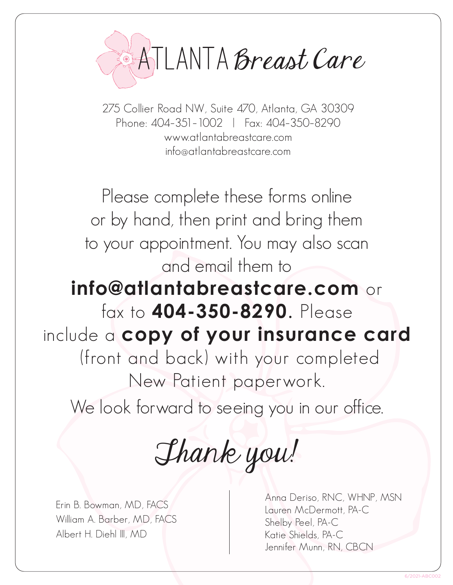

275 Collier Road NW, Suite 470, Atlanta, GA 30309 Phone: 404–351–1002 | Fax: 404–350–8290 www.atlantabreastcare.com info@atlantabreastcare.com

Please complete these forms online or by hand, then print and bring them to your appointment. You may also scan and email them to **info@atlantabreastcare.com** or fax to **404-350-8290**. Please include a **copy of your insurance card** (front and back) with your completed New Patient paperwork.

We look forward to seeing you in our office.

Thank you!

Erin B. Bowman, MD, FACS William A. Barber, MD, FACS Albert H. Diehl III, MD

Anna Deriso, RNC, WHNP, MSN Lauren McDermott, PA-C Shelby Peel, PA-C Katie Shields, PA-C Jennifer Munn, RN, CBCN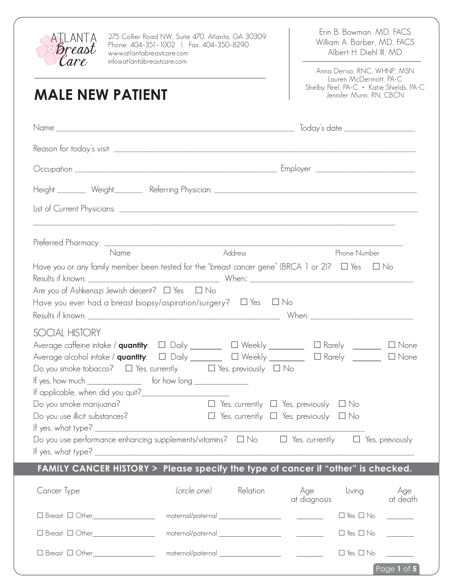

**MALE NEW PATIENT**

275 Collier Road NW, Suite 470, Atlanta, GA 30309 Phone: 404–351–1002 | Fax: 404–350–8290 www.atlantabreastcare.com info@atlantabreastcare.com

Erin B. Bowman, MD, FACS William A. Barber, MD, FACS Albert H. Diehl III, MD

Anna Deriso, RNC, WHNP, MSN Lauren McDermott, PA-C Shelby Peel, PA-C • Katie Shields, PA-C Jennifer Munn, RN, CBCN

| Name                                                     | Address                                                                                                         | Phone Number                                                                                                               |
|----------------------------------------------------------|-----------------------------------------------------------------------------------------------------------------|----------------------------------------------------------------------------------------------------------------------------|
|                                                          | Have you or any family member been tested for the "breast cancer gene" (BRCA 1 or 2)? $\Box$ Yes $\Box$ No      |                                                                                                                            |
| Are you of Ashkenazi Jewish decent? $\Box$ Yes $\Box$ No |                                                                                                                 |                                                                                                                            |
|                                                          | Have you ever had a breast biopsy/aspiration/surgery? $\Box$ Yes $\Box$ No                                      |                                                                                                                            |
|                                                          |                                                                                                                 |                                                                                                                            |
| SOCIAL HISTORY                                           |                                                                                                                 |                                                                                                                            |
|                                                          |                                                                                                                 | Average caffeine intake / <b>quantity</b> : $\Box$ Daily ________ $\Box$ Weekly ________ $\Box$ Rarely _______ $\Box$ None |
|                                                          | Average alcohol intake / $\mathsf{quantity}$ : $\Box$ Daily ________ $\Box$ Weekly _______ $\Box$ Rarely ______ | $\Box$ None                                                                                                                |
|                                                          | Do you smoke tobacco? $\Box$ Yes, currently $\Box$ Yes, previously $\Box$ No                                    |                                                                                                                            |
| If yes, how much $\_\_$ for how long $\_\_$              |                                                                                                                 |                                                                                                                            |
|                                                          |                                                                                                                 |                                                                                                                            |
| Do you smoke marijuana?                                  |                                                                                                                 | $\Box$ Yes, currently $\Box$ Yes, previously $\Box$ No                                                                     |
| Do you use illicit substances?                           |                                                                                                                 | $\Box$ Yes, currently $\Box$ Yes, previously $\Box$ No                                                                     |
|                                                          |                                                                                                                 |                                                                                                                            |
|                                                          |                                                                                                                 | Do you use performance enhancing supplements/vitamins? $\Box$ No $\Box$ Yes, currently $\Box$ Yes, previously              |
| If yes, what type? _                                     |                                                                                                                 |                                                                                                                            |
|                                                          |                                                                                                                 | FAMILY CANCER HISTORY > Please specify the type of cancer if "other" is checked.                                           |
| Cancer Type                                              | (circle one)<br>Relation                                                                                        | Age<br>Living<br>Age<br>at death<br>at diagnosis                                                                           |
| □ Breast □ Other___________________                      |                                                                                                                 | $\Box$ Yes $\Box$ No                                                                                                       |
| □ Breast □ Other___________________                      |                                                                                                                 | $\Box$ Yes $\Box$ No                                                                                                       |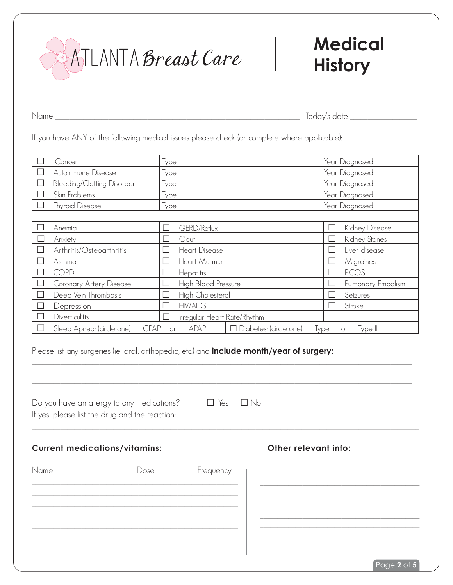ATLANTA Breast Care

# **Medical History**

Name \_\_\_\_\_\_\_\_\_\_\_\_\_\_\_\_\_\_\_\_\_\_\_\_\_\_\_\_\_\_\_\_\_\_\_\_\_\_\_\_\_\_\_\_\_\_\_\_\_\_\_\_\_\_\_\_\_\_\_\_\_\_\_\_\_\_\_\_\_ Today's date \_\_\_\_\_\_\_\_\_\_\_\_\_\_\_\_\_\_\_

If you have ANY of the following medical issues please check (or complete where applicable):

|   | Cancer                                   | lype                                        | Year Diagnosed               |
|---|------------------------------------------|---------------------------------------------|------------------------------|
|   | Autoimmune Disease                       | Type                                        | Year Diagnosed               |
|   | <b>Bleeding/Clotting Disorder</b>        | Type                                        | Year Diagnosed               |
|   | Skin Problems                            | lype                                        | Year Diagnosed               |
|   | <b>Thyroid Disease</b>                   | Type                                        | Year Diagnosed               |
|   |                                          |                                             |                              |
|   | Anemia                                   | GERD/Reflux                                 | Kidney Disease               |
|   | Anxiety                                  | Gout                                        | Kidney Stones                |
| П | Arthritis/Osteoarthritis                 | <b>Heart Disease</b>                        | Liver disease                |
|   | Asthma                                   | Heart Murmur                                | Migraines                    |
|   | <b>COPD</b>                              | Hepatitis                                   | <b>PCOS</b>                  |
|   | Coronary Artery Disease                  | High Blood Pressure                         | Pulmonary Embolism           |
|   | Deep Vein Thrombosis                     | High Cholesterol                            | Seizures                     |
|   | Depression                               | <b>HIV/AIDS</b>                             | Stroke                       |
|   | <b>Diverticulitis</b>                    | Irregular Heart Rate/Rhythm                 |                              |
|   | <b>CPAP</b><br>Sleep Apnea: (circle one) | APAP<br>$\Box$ Diabetes: (circle one)<br>or | Type I<br>$Type \parallelor$ |

Please list any surgeries (ie: oral, orthopedic, etc.) and **include month/year of surgery:**

|                                      | Do you have an allergy to any medications?<br>If yes, please list the drug and the reaction: _________________________________ | $\Box$ Yes $\Box$ No |                      |
|--------------------------------------|--------------------------------------------------------------------------------------------------------------------------------|----------------------|----------------------|
| <b>Current medications/vitamins:</b> |                                                                                                                                |                      | Other relevant info: |
| Name                                 | Dose                                                                                                                           | Frequency            |                      |
|                                      |                                                                                                                                |                      |                      |
|                                      |                                                                                                                                |                      |                      |

 $\_$  ,  $\_$  ,  $\_$  ,  $\_$  ,  $\_$  ,  $\_$  ,  $\_$  ,  $\_$  ,  $\_$  ,  $\_$  ,  $\_$  ,  $\_$  ,  $\_$  ,  $\_$  ,  $\_$  ,  $\_$  ,  $\_$  ,  $\_$  ,  $\_$  ,  $\_$  ,  $\_$  ,  $\_$  ,  $\_$  ,  $\_$  ,  $\_$  ,  $\_$  ,  $\_$  ,  $\_$  ,  $\_$  ,  $\_$  ,  $\_$  ,  $\_$  ,  $\_$  ,  $\_$  ,  $\_$  ,  $\_$  ,  $\_$  ,

Page **2** of **5**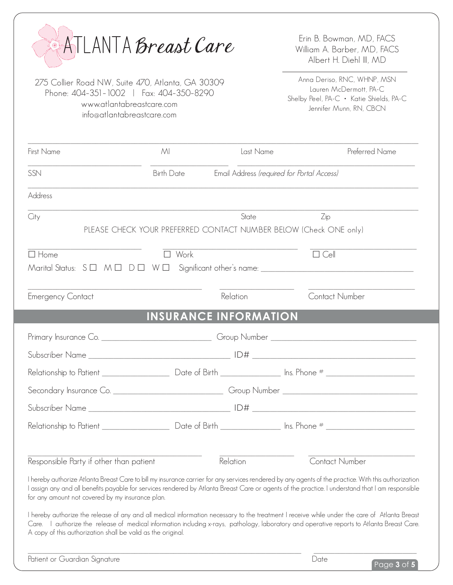|                                                                                                                                                         | ATLANTA Breast Care          |                | Erin B. Bowman, MD, FACS<br>William A. Barber, MD, FACS<br>Albert H. Diehl III, MD                                                                                                                                                                                                                       |
|---------------------------------------------------------------------------------------------------------------------------------------------------------|------------------------------|----------------|----------------------------------------------------------------------------------------------------------------------------------------------------------------------------------------------------------------------------------------------------------------------------------------------------------|
| 275 Collier Road NW, Suite 470, Atlanta, GA 30309<br>Phone: 404-351-1002   Fax: 404-350-8290<br>www.atlantabreastcare.com<br>info@atlantabreastcare.com |                              |                | Anna Deriso, RNC, WHNP, MSN<br>Lauren McDermott, PA-C<br>Shelby Peel, PA-C · Katie Shields, PA-C<br>Jennifer Munn, RN, CBCN                                                                                                                                                                              |
| First Name                                                                                                                                              | MI                           | Last Name      | Preferred Name                                                                                                                                                                                                                                                                                           |
| SSN                                                                                                                                                     | <b>Birth Date</b>            |                | Email Address (required for Portal Access)                                                                                                                                                                                                                                                               |
| Address                                                                                                                                                 |                              |                |                                                                                                                                                                                                                                                                                                          |
| City                                                                                                                                                    |                              | State          | Zip<br>PLEASE CHECK YOUR PREFERRED CONTACT NUMBER BELOW (Check ONE only)                                                                                                                                                                                                                                 |
| $\Box$ Home                                                                                                                                             | Work                         |                | $\Box$ Cell                                                                                                                                                                                                                                                                                              |
| <b>Emergency Contact</b>                                                                                                                                |                              | Relation       | <b>Contact Number</b>                                                                                                                                                                                                                                                                                    |
|                                                                                                                                                         | <b>INSURANCE INFORMATION</b> |                |                                                                                                                                                                                                                                                                                                          |
| Primary Insurance Co.                                                                                                                                   |                              | Group Number _ |                                                                                                                                                                                                                                                                                                          |
| Subscriber Name                                                                                                                                         |                              | ID#            |                                                                                                                                                                                                                                                                                                          |
|                                                                                                                                                         |                              |                |                                                                                                                                                                                                                                                                                                          |
|                                                                                                                                                         |                              |                | Secondary Insurance Co. _________________________________Group Number ______________________________                                                                                                                                                                                                     |
|                                                                                                                                                         |                              |                |                                                                                                                                                                                                                                                                                                          |
|                                                                                                                                                         |                              |                |                                                                                                                                                                                                                                                                                                          |
| Responsible Party if other than patient                                                                                                                 |                              | Relation       | <b>Contact Number</b>                                                                                                                                                                                                                                                                                    |
| for any amount not covered by my insurance plan.                                                                                                        |                              |                | I hereby authorize Atlanta Breast Care to bill my insurance carrier for any services rendered by any agents of the practice. With this authorization<br>I assign any and all benefits payable for services rendered by Atlanta Breast Care or agents of the practice. I understand that I am responsible |
| A copy of this authorization shall be valid as the original.                                                                                            |                              |                | I hereby authorize the release of any and all medical information necessary to the treatment I receive while under the care of Atlanta Breast<br>Care. I authorize the release of medical information including x-rays, pathology, laboratory and operative reports to Atlanta Breast Care.              |
| Patient or Guardian Signature                                                                                                                           |                              |                | Date<br>Page $3$ of $5$                                                                                                                                                                                                                                                                                  |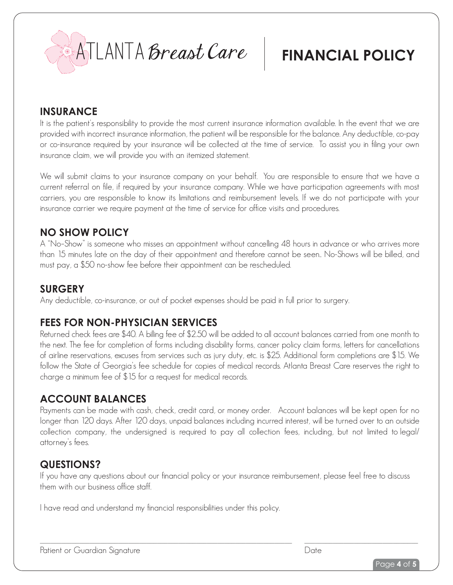

## **FINANCIAL POLICY**

#### **INSURANCE**

It is the patient's responsibility to provide the most current insurance information available. In the event that we are provided with incorrect insurance information, the patient will be responsible for the balance. Any deductible, co-pay or co-insurance required by your insurance will be collected at the time of service. To assist you in filing your own insurance claim, we will provide you with an itemized statement.

We will submit claims to your insurance company on your behalf. You are responsible to ensure that we have a current referral on file, if required by your insurance company. While we have participation agreements with most carriers, you are responsible to know its limitations and reimbursement levels. If we do not participate with your insurance carrier we require payment at the time of service for office visits and procedures.

#### **NO SHOW POLICY**

A "No–Show" is someone who misses an appointment without cancelling 48 hours in advance or who arrives more than 15 minutes late on the day of their appointment and therefore cannot be seen.. No-Shows will be billed, and must pay, a \$50 no-show fee before their appointment can be rescheduled.

#### **SURGERY**

Any deductible, co-insurance, or out of pocket expenses should be paid in full prior to surgery.

#### **FEES FOR NON-PHYSICIAN SERVICES**

Returned check fees are \$40. A billing fee of \$2.50 will be added to all account balances carried from one month to the next. The fee for completion of forms including disability forms, cancer policy claim forms, letters for cancellations of airline reservations, excuses from services such as jury duty, etc. is \$25. Additional form completions are \$15. We follow the State of Georgia's fee schedule for copies of medical records. Atlanta Breast Care reserves the right to charge a minimum fee of \$15 for a request for medical records.

### **ACCOUNT BALANCES**

Payments can be made with cash, check, credit card, or money order. Account balances will be kept open for no longer than 120 days. After 120 days, unpaid balances including incurred interest, will be turned over to an outside collection company, the undersigned is required to pay all collection fees, including, but not limited to legal/ attorney's fees.

#### **QUESTIONS?**

If you have any questions about our financial policy or your insurance reimbursement, please feel free to discuss them with our business office staff.

I have read and understand my financial responsibilities under this policy.

Patient or Guardian Signature **Date**